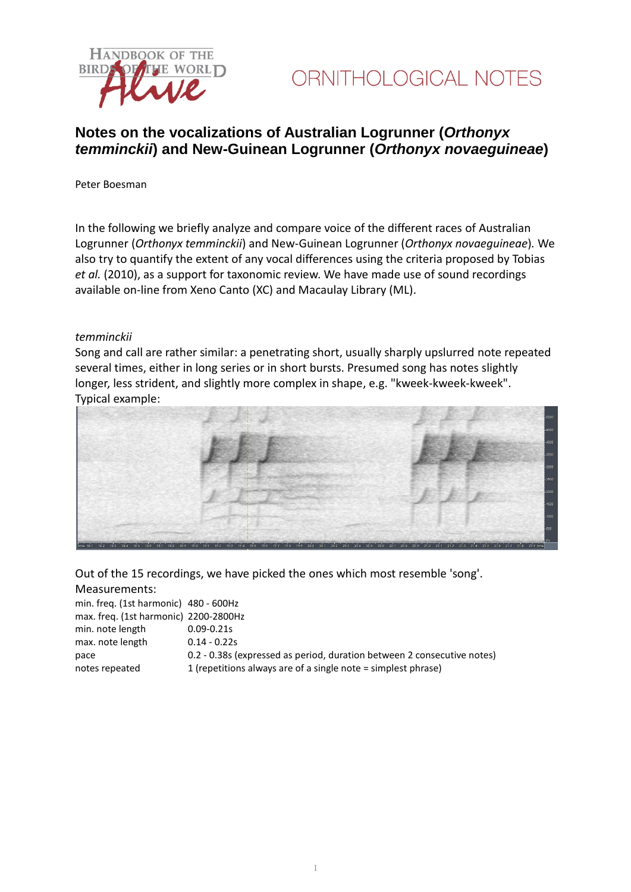



### **Notes on the vocalizations of Australian Logrunner (***Orthonyx temminckii***) and New-Guinean Logrunner (***Orthonyx novaeguineae***)**

Peter Boesman

In the following we briefly analyze and compare voice of the different races of Australian Logrunner (*Orthonyx temminckii*) and New-Guinean Logrunner (*Orthonyx novaeguineae*)*.* We also try to quantify the extent of any vocal differences using the criteria proposed by Tobias *et al.* (2010), as a support for taxonomic review. We have made use of sound recordings available on-line from Xeno Canto (XC) and Macaulay Library (ML).

#### *temminckii*

Song and call are rather similar: a penetrating short, usually sharply upslurred note repeated several times, either in long series or in short bursts. Presumed song has notes slightly longer, less strident, and slightly more complex in shape, e.g. "kweek-kweek-kweek". Typical example:



Out of the 15 recordings, we have picked the ones which most resemble 'song'. Measurements:

| min. freg. (1st harmonic) 480 - 600Hz |                                                                         |
|---------------------------------------|-------------------------------------------------------------------------|
| max. freq. (1st harmonic) 2200-2800Hz |                                                                         |
| min. note length                      | $0.09 - 0.21s$                                                          |
| max. note length                      | $0.14 - 0.22s$                                                          |
| pace                                  | 0.2 - 0.38s (expressed as period, duration between 2 consecutive notes) |
| notes repeated                        | 1 (repetitions always are of a single note = simplest phrase)           |
|                                       |                                                                         |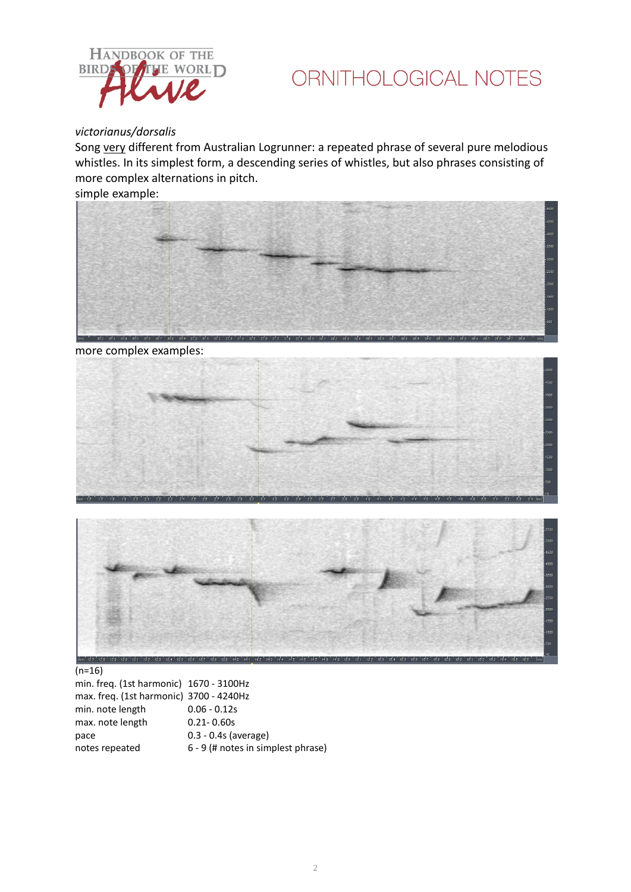

# ORNITHOLOGICAL NOTES

### *victorianus/dorsalis*

Song very different from Australian Logrunner: a repeated phrase of several pure melodious whistles. In its simplest form, a descending series of whistles, but also phrases consisting of more complex alternations in pitch.

simple example:



more complex examples:





### (n=16)

min. freq. (1st harmonic) 1670 - 3100Hz max. freq. (1st harmonic) 3700 - 4240Hz min. note length 0.06 - 0.12s max. note length 0.21-0.60s pace 0.3 - 0.4s (average)<br>notes repeated 6 - 9 (# notes in sim  $6 - 9$  (# notes in simplest phrase)